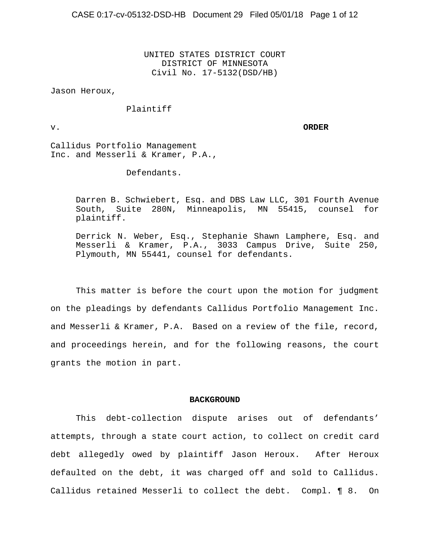UNITED STATES DISTRICT COURT DISTRICT OF MINNESOTA Civil No. 17-5132(DSD/HB)

Jason Heroux,

Plaintiff

v. **ORDER**

Callidus Portfolio Management Inc. and Messerli & Kramer, P.A.,

Defendants.

Darren B. Schwiebert, Esq. and DBS Law LLC, 301 Fourth Avenue South, Suite 280N, Minneapolis, MN 55415, counsel for plaintiff.

Derrick N. Weber, Esq., Stephanie Shawn Lamphere, Esq. and Messerli & Kramer, P.A., 3033 Campus Drive, Suite 250, Plymouth, MN 55441, counsel for defendants.

This matter is before the court upon the motion for judgment on the pleadings by defendants Callidus Portfolio Management Inc. and Messerli & Kramer, P.A. Based on a review of the file, record, and proceedings herein, and for the following reasons, the court grants the motion in part.

#### **BACKGROUND**

This debt-collection dispute arises out of defendants' attempts, through a state court action, to collect on credit card debt allegedly owed by plaintiff Jason Heroux. After Heroux defaulted on the debt, it was charged off and sold to Callidus. Callidus retained Messerli to collect the debt. Compl. ¶ 8. On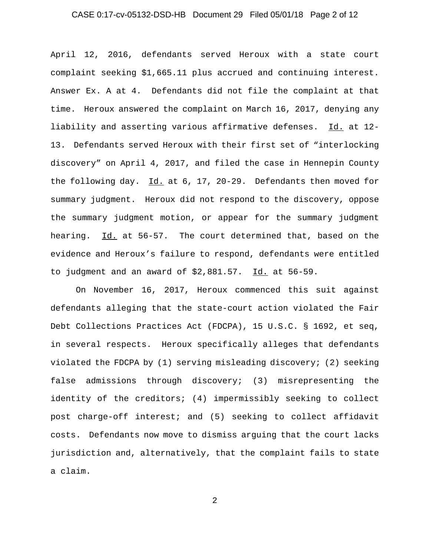### CASE 0:17-cv-05132-DSD-HB Document 29 Filed 05/01/18 Page 2 of 12

April 12, 2016, defendants served Heroux with a state court complaint seeking \$1,665.11 plus accrued and continuing interest. Answer Ex. A at 4. Defendants did not file the complaint at that time. Heroux answered the complaint on March 16, 2017, denying any liability and asserting various affirmative defenses. Id. at 12- 13. Defendants served Heroux with their first set of "interlocking discovery" on April 4, 2017, and filed the case in Hennepin County the following day. Id. at 6, 17, 20-29. Defendants then moved for summary judgment. Heroux did not respond to the discovery, oppose the summary judgment motion, or appear for the summary judgment hearing. Id. at 56-57. The court determined that, based on the evidence and Heroux's failure to respond, defendants were entitled to judgment and an award of \$2,881.57. Id. at 56-59.

On November 16, 2017, Heroux commenced this suit against defendants alleging that the state-court action violated the Fair Debt Collections Practices Act (FDCPA), 15 U.S.C. § 1692, et seq, in several respects. Heroux specifically alleges that defendants violated the FDCPA by (1) serving misleading discovery; (2) seeking false admissions through discovery; (3) misrepresenting the identity of the creditors; (4) impermissibly seeking to collect post charge-off interest; and (5) seeking to collect affidavit costs. Defendants now move to dismiss arguing that the court lacks jurisdiction and, alternatively, that the complaint fails to state a claim.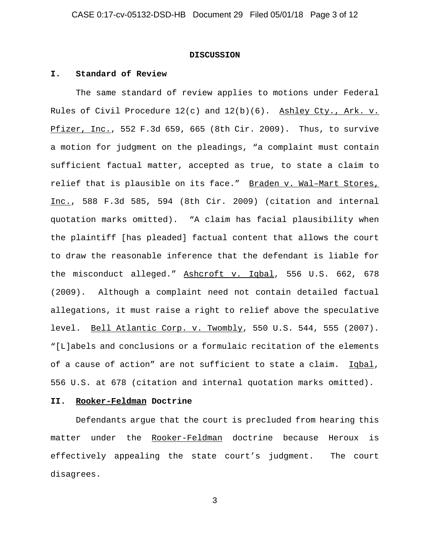#### **DISCUSSION**

#### **I. Standard of Review**

The same standard of review applies to motions under Federal Rules of Civil Procedure  $12(c)$  and  $12(b)(6)$ . Ashley Cty., Ark. v. Pfizer, Inc., 552 F.3d 659, 665 (8th Cir. 2009). Thus, to survive a motion for judgment on the pleadings, "a complaint must contain sufficient factual matter, accepted as true, to state a claim to relief that is plausible on its face." Braden v. Wal–Mart Stores, Inc., 588 F.3d 585, 594 (8th Cir. 2009) (citation and internal quotation marks omitted). "A claim has facial plausibility when the plaintiff [has pleaded] factual content that allows the court to draw the reasonable inference that the defendant is liable for the misconduct alleged." Ashcroft v. Iqbal, 556 U.S. 662, 678 (2009). Although a complaint need not contain detailed factual allegations, it must raise a right to relief above the speculative level. Bell Atlantic Corp. v. Twombly, 550 U.S. 544, 555 (2007). "[L]abels and conclusions or a formulaic recitation of the elements of a cause of action" are not sufficient to state a claim. Iqbal, 556 U.S. at 678 (citation and internal quotation marks omitted).

#### **II. Rooker-Feldman Doctrine**

Defendants argue that the court is precluded from hearing this matter under the Rooker-Feldman doctrine because Heroux is effectively appealing the state court's judgment. The court disagrees.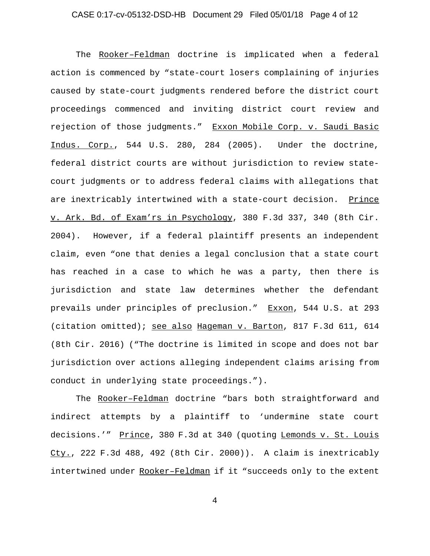### CASE 0:17-cv-05132-DSD-HB Document 29 Filed 05/01/18 Page 4 of 12

The Rooker–Feldman doctrine is implicated when a federal action is commenced by "state-court losers complaining of injuries caused by state-court judgments rendered before the district court proceedings commenced and inviting district court review and rejection of those judgments." Exxon Mobile Corp. v. Saudi Basic Indus. Corp., 544 U.S. 280, 284 (2005). Under the doctrine, federal district courts are without jurisdiction to review statecourt judgments or to address federal claims with allegations that are inextricably intertwined with a state-court decision. Prince v. Ark. Bd. of Exam'rs in Psychology, 380 F.3d 337, 340 (8th Cir. 2004). However, if a federal plaintiff presents an independent claim, even "one that denies a legal conclusion that a state court has reached in a case to which he was a party, then there is jurisdiction and state law determines whether the defendant prevails under principles of preclusion." Exxon, 544 U.S. at 293 (citation omitted); see also Hageman v. Barton, 817 F.3d 611, 614 (8th Cir. 2016) ("The doctrine is limited in scope and does not bar jurisdiction over actions alleging independent claims arising from conduct in underlying state proceedings.").

The Rooker–Feldman doctrine "bars both straightforward and indirect attempts by a plaintiff to 'undermine state court decisions.'" Prince, 380 F.3d at 340 (quoting Lemonds v. St. Louis Cty., 222 F.3d 488, 492 (8th Cir. 2000)). A claim is inextricably intertwined under Rooker-Feldman if it "succeeds only to the extent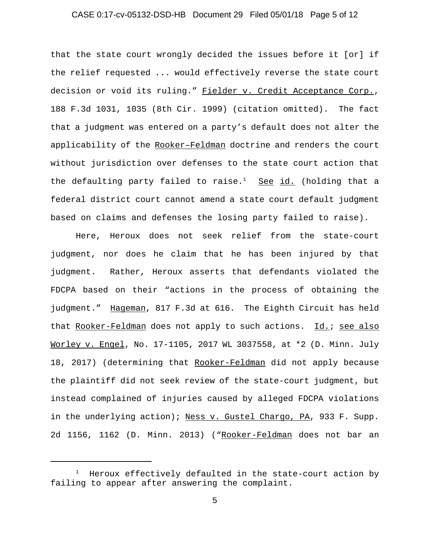### CASE 0:17-cv-05132-DSD-HB Document 29 Filed 05/01/18 Page 5 of 12

that the state court wrongly decided the issues before it [or] if the relief requested ... would effectively reverse the state court decision or void its ruling." Fielder v. Credit Acceptance Corp., 188 F.3d 1031, 1035 (8th Cir. 1999) (citation omitted). The fact that a judgment was entered on a party's default does not alter the applicability of the Rooker–Feldman doctrine and renders the court without jurisdiction over defenses to the state court action that the defaulting party failed to raise.<sup>1</sup> See id. (holding that a federal district court cannot amend a state court default judgment based on claims and defenses the losing party failed to raise).

Here, Heroux does not seek relief from the state-court judgment, nor does he claim that he has been injured by that judgment. Rather, Heroux asserts that defendants violated the FDCPA based on their "actions in the process of obtaining the judgment." Hageman, 817 F.3d at 616. The Eighth Circuit has held that Rooker-Feldman does not apply to such actions. Id.; see also Worley v. Engel, No. 17-1105, 2017 WL 3037558, at \*2 (D. Minn. July 18, 2017) (determining that Rooker-Feldman did not apply because the plaintiff did not seek review of the state-court judgment, but instead complained of injuries caused by alleged FDCPA violations in the underlying action); Ness v. Gustel Chargo, PA, 933 F. Supp. 2d 1156, 1162 (D. Minn. 2013) ("Rooker-Feldman does not bar an

<sup>1</sup> Heroux effectively defaulted in the state-court action by failing to appear after answering the complaint.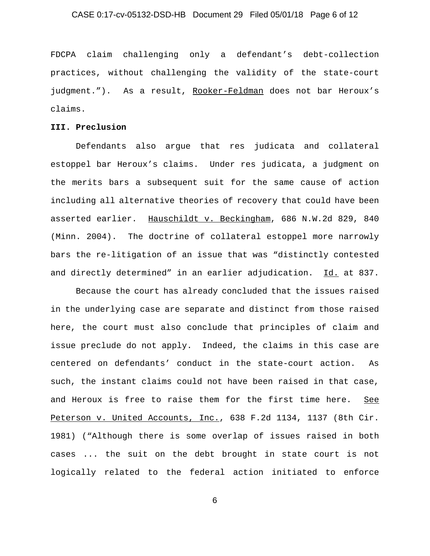### CASE 0:17-cv-05132-DSD-HB Document 29 Filed 05/01/18 Page 6 of 12

FDCPA claim challenging only a defendant's debt-collection practices, without challenging the validity of the state-court judgment."). As a result, Rooker-Feldman does not bar Heroux's claims.

### **III. Preclusion**

Defendants also argue that res judicata and collateral estoppel bar Heroux's claims. Under res judicata, a judgment on the merits bars a subsequent suit for the same cause of action including all alternative theories of recovery that could have been asserted earlier. Hauschildt v. Beckingham, 686 N.W.2d 829, 840 (Minn. 2004). The doctrine of collateral estoppel more narrowly bars the re-litigation of an issue that was "distinctly contested and directly determined" in an earlier adjudication. Id. at 837.

Because the court has already concluded that the issues raised in the underlying case are separate and distinct from those raised here, the court must also conclude that principles of claim and issue preclude do not apply. Indeed, the claims in this case are centered on defendants' conduct in the state-court action. As such, the instant claims could not have been raised in that case, and Heroux is free to raise them for the first time here. See Peterson v. United Accounts, Inc., 638 F.2d 1134, 1137 (8th Cir. 1981) ("Although there is some overlap of issues raised in both cases ... the suit on the debt brought in state court is not logically related to the federal action initiated to enforce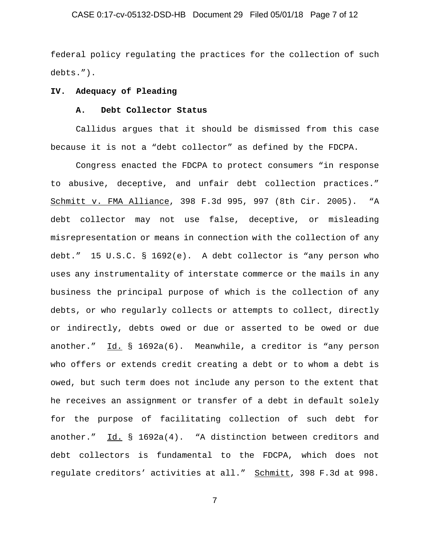### CASE 0:17-cv-05132-DSD-HB Document 29 Filed 05/01/18 Page 7 of 12

federal policy regulating the practices for the collection of such debts.").

#### **IV. Adequacy of Pleading**

## **A. Debt Collector Status**

Callidus argues that it should be dismissed from this case because it is not a "debt collector" as defined by the FDCPA.

Congress enacted the FDCPA to protect consumers "in response to abusive, deceptive, and unfair debt collection practices." Schmitt v. FMA Alliance, 398 F.3d 995, 997 (8th Cir. 2005). "A debt collector may not use false, deceptive, or misleading misrepresentation or means in connection with the collection of any debt." 15 U.S.C. § 1692(e). A debt collector is "any person who uses any instrumentality of interstate commerce or the mails in any business the principal purpose of which is the collection of any debts, or who regularly collects or attempts to collect, directly or indirectly, debts owed or due or asserted to be owed or due another." Id. § 1692a(6). Meanwhile, a creditor is "any person who offers or extends credit creating a debt or to whom a debt is owed, but such term does not include any person to the extent that he receives an assignment or transfer of a debt in default solely for the purpose of facilitating collection of such debt for another." Id. § 1692a(4). "A distinction between creditors and debt collectors is fundamental to the FDCPA, which does not regulate creditors' activities at all." Schmitt, 398 F.3d at 998.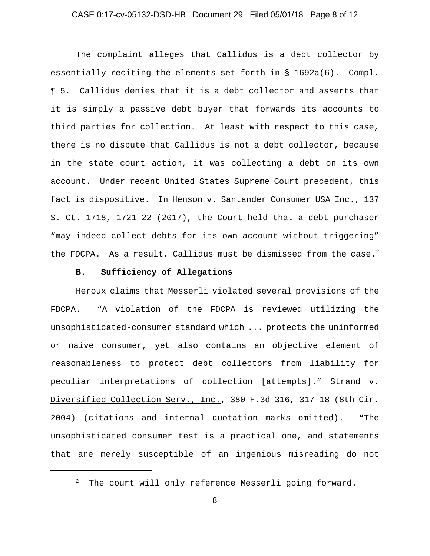### CASE 0:17-cv-05132-DSD-HB Document 29 Filed 05/01/18 Page 8 of 12

The complaint alleges that Callidus is a debt collector by essentially reciting the elements set forth in § 1692a(6). Compl. ¶ 5. Callidus denies that it is a debt collector and asserts that it is simply a passive debt buyer that forwards its accounts to third parties for collection. At least with respect to this case, there is no dispute that Callidus is not a debt collector, because in the state court action, it was collecting a debt on its own account. Under recent United States Supreme Court precedent, this fact is dispositive. In Henson v. Santander Consumer USA Inc., 137 S. Ct. 1718, 1721-22 (2017), the Court held that a debt purchaser "may indeed collect debts for its own account without triggering" the FDCPA. As a result, Callidus must be dismissed from the case.<sup>2</sup>

### **B. Sufficiency of Allegations**

Heroux claims that Messerli violated several provisions of the FDCPA. "A violation of the FDCPA is reviewed utilizing the unsophisticated-consumer standard which ... protects the uninformed or naive consumer, yet also contains an objective element of reasonableness to protect debt collectors from liability for peculiar interpretations of collection [attempts]." Strand v. Diversified Collection Serv., Inc., 380 F.3d 316, 317–18 (8th Cir. 2004) (citations and internal quotation marks omitted). "The unsophisticated consumer test is a practical one, and statements that are merely susceptible of an ingenious misreading do not

 $2^2$  The court will only reference Messerli going forward.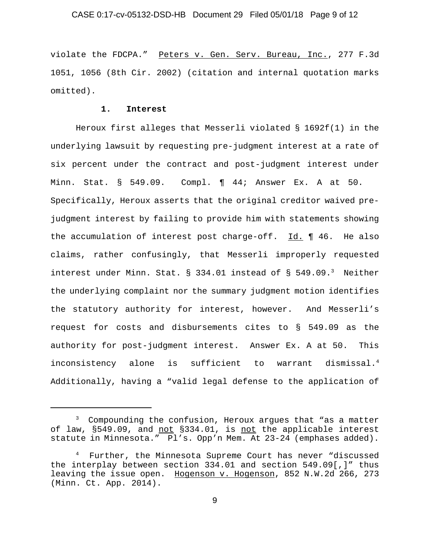#### CASE 0:17-cv-05132-DSD-HB Document 29 Filed 05/01/18 Page 9 of 12

violate the FDCPA." Peters v. Gen. Serv. Bureau, Inc., 277 F.3d 1051, 1056 (8th Cir. 2002) (citation and internal quotation marks omitted).

#### **1. Interest**

Heroux first alleges that Messerli violated § 1692f(1) in the underlying lawsuit by requesting pre-judgment interest at a rate of six percent under the contract and post-judgment interest under Minn. Stat. § 549.09. Compl. ¶ 44; Answer Ex. A at 50. Specifically, Heroux asserts that the original creditor waived prejudgment interest by failing to provide him with statements showing the accumulation of interest post charge-off.  $Id. \P 46.$  He also claims, rather confusingly, that Messerli improperly requested interest under Minn. Stat.  $\S$  334.01 instead of  $\S$  549.09.<sup>3</sup> Neither the underlying complaint nor the summary judgment motion identifies the statutory authority for interest, however. And Messerli's request for costs and disbursements cites to § 549.09 as the authority for post-judgment interest. Answer Ex. A at 50. This inconsistency alone is sufficient to warrant dismissal.<sup>4</sup> Additionally, having a "valid legal defense to the application of

<sup>&</sup>lt;sup>3</sup> Compounding the confusion, Heroux argues that "as a matter of law, §549.09, and not §334.01, is not the applicable interest statute in Minnesota." Pl's. Opp'n Mem. At 23-24 (emphases added).

<sup>&</sup>lt;sup>4</sup> Further, the Minnesota Supreme Court has never "discussed the interplay between section 334.01 and section 549.09[,]" thus leaving the issue open. Hogenson v. Hogenson, 852 N.W.2d 266, 273 (Minn. Ct. App. 2014).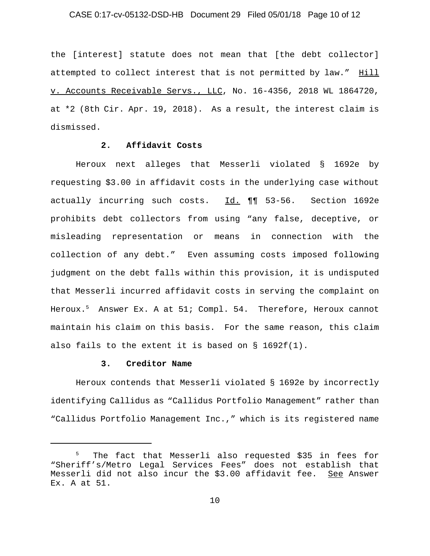### CASE 0:17-cv-05132-DSD-HB Document 29 Filed 05/01/18 Page 10 of 12

the [interest] statute does not mean that [the debt collector] attempted to collect interest that is not permitted by law." Hill v. Accounts Receivable Servs., LLC, No. 16-4356, 2018 WL 1864720, at \*2 (8th Cir. Apr. 19, 2018). As a result, the interest claim is dismissed.

## **2. Affidavit Costs**

Heroux next alleges that Messerli violated § 1692e by requesting \$3.00 in affidavit costs in the underlying case without actually incurring such costs. Id. 11 53-56. Section 1692e prohibits debt collectors from using "any false, deceptive, or misleading representation or means in connection with the collection of any debt." Even assuming costs imposed following judgment on the debt falls within this provision, it is undisputed that Messerli incurred affidavit costs in serving the complaint on Heroux.<sup>5</sup> Answer Ex. A at 51; Compl. 54. Therefore, Heroux cannot maintain his claim on this basis. For the same reason, this claim also fails to the extent it is based on § 1692f(1).

## **3. Creditor Name**

Heroux contends that Messerli violated § 1692e by incorrectly identifying Callidus as "Callidus Portfolio Management" rather than "Callidus Portfolio Management Inc.," which is its registered name

<sup>5</sup> The fact that Messerli also requested \$35 in fees for "Sheriff's/Metro Legal Services Fees" does not establish that Messerli did not also incur the \$3.00 affidavit fee. See Answer Ex. A at 51.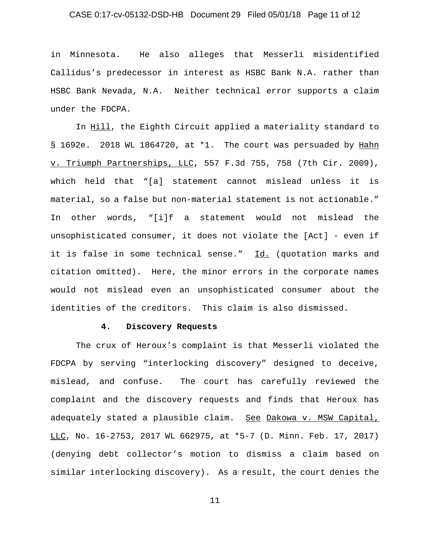### CASE 0:17-cv-05132-DSD-HB Document 29 Filed 05/01/18 Page 11 of 12

in Minnesota. He also alleges that Messerli misidentified Callidus's predecessor in interest as HSBC Bank N.A. rather than HSBC Bank Nevada, N.A. Neither technical error supports a claim under the FDCPA.

In Hill, the Eighth Circuit applied a materiality standard to § 1692e. 2018 WL 1864720, at \*1. The court was persuaded by Hahn v. Triumph Partnerships, LLC, 557 F.3d 755, 758 (7th Cir. 2009), which held that "[a] statement cannot mislead unless it is material, so a false but non-material statement is not actionable." In other words, "[i]f a statement would not mislead the unsophisticated consumer, it does not violate the [Act] - even if it is false in some technical sense." Id. (quotation marks and citation omitted). Here, the minor errors in the corporate names would not mislead even an unsophisticated consumer about the identities of the creditors. This claim is also dismissed.

#### **4. Discovery Requests**

The crux of Heroux's complaint is that Messerli violated the FDCPA by serving "interlocking discovery" designed to deceive, mislead, and confuse. The court has carefully reviewed the complaint and the discovery requests and finds that Heroux has adequately stated a plausible claim. See Dakowa v. MSW Capital, LLC, No. 16-2753, 2017 WL 662975, at \*5-7 (D. Minn. Feb. 17, 2017) (denying debt collector's motion to dismiss a claim based on similar interlocking discovery). As a result, the court denies the